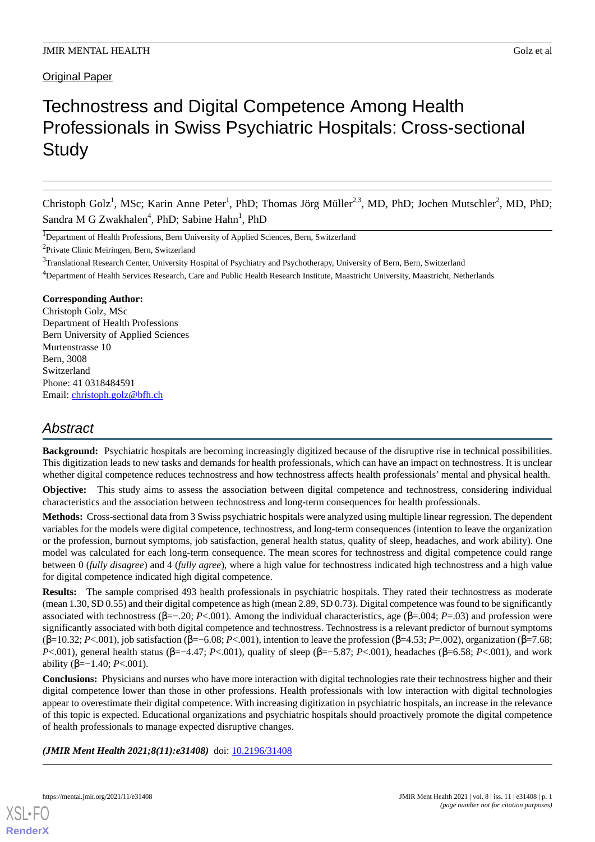## **Original Paper**

# Technostress and Digital Competence Among Health Professionals in Swiss Psychiatric Hospitals: Cross-sectional **Study**

Christoph Golz<sup>1</sup>, MSc; Karin Anne Peter<sup>1</sup>, PhD; Thomas Jörg Müller<sup>2,3</sup>, MD, PhD; Jochen Mutschler<sup>2</sup>, MD, PhD; Sandra M G Zwakhalen<sup>4</sup>, PhD; Sabine Hahn<sup>1</sup>, PhD

<sup>1</sup>Department of Health Professions, Bern University of Applied Sciences, Bern, Switzerland

<sup>2</sup> Private Clinic Meiringen, Bern, Switzerland

<sup>3</sup>Translational Research Center, University Hospital of Psychiatry and Psychotherapy, University of Bern, Bern, Switzerland

<sup>4</sup>Department of Health Services Research, Care and Public Health Research Institute, Maastricht University, Maastricht, Netherlands

## **Corresponding Author:**

Christoph Golz, MSc Department of Health Professions Bern University of Applied Sciences Murtenstrasse 10 Bern, 3008 Switzerland Phone: 41 0318484591 Email: [christoph.golz@bfh.ch](mailto:christoph.golz@bfh.ch)

## *Abstract*

**Background:** Psychiatric hospitals are becoming increasingly digitized because of the disruptive rise in technical possibilities. This digitization leads to new tasks and demands for health professionals, which can have an impact on technostress. It is unclear whether digital competence reduces technostress and how technostress affects health professionals' mental and physical health.

**Objective:** This study aims to assess the association between digital competence and technostress, considering individual characteristics and the association between technostress and long-term consequences for health professionals.

**Methods:** Cross-sectional data from 3 Swiss psychiatric hospitals were analyzed using multiple linear regression. The dependent variables for the models were digital competence, technostress, and long-term consequences (intention to leave the organization or the profession, burnout symptoms, job satisfaction, general health status, quality of sleep, headaches, and work ability). One model was calculated for each long-term consequence. The mean scores for technostress and digital competence could range between 0 (*fully disagree*) and 4 (*fully agree*), where a high value for technostress indicated high technostress and a high value for digital competence indicated high digital competence.

**Results:** The sample comprised 493 health professionals in psychiatric hospitals. They rated their technostress as moderate (mean 1.30, SD 0.55) and their digital competence as high (mean 2.89, SD 0.73). Digital competence was found to be significantly associated with technostress (β=−.20; *P*<.001). Among the individual characteristics, age (β=.004; *P*=.03) and profession were significantly associated with both digital competence and technostress. Technostress is a relevant predictor of burnout symptoms (β=10.32; *P*<.001), job satisfaction (β=−6.08; *P*<.001), intention to leave the profession (β=4.53; *P*=.002), organization (β=7.68; *P*<.001), general health status (β=−4.47; *P*<.001), quality of sleep (β=−5.87; *P*<.001), headaches (β=6.58; *P*<.001), and work ability (β=−1.40; *P*<.001).

**Conclusions:** Physicians and nurses who have more interaction with digital technologies rate their technostress higher and their digital competence lower than those in other professions. Health professionals with low interaction with digital technologies appear to overestimate their digital competence. With increasing digitization in psychiatric hospitals, an increase in the relevance of this topic is expected. Educational organizations and psychiatric hospitals should proactively promote the digital competence of health professionals to manage expected disruptive changes.

(JMIR Ment Health 2021;8(11):e31408) doi: [10.2196/31408](http://dx.doi.org/10.2196/31408)

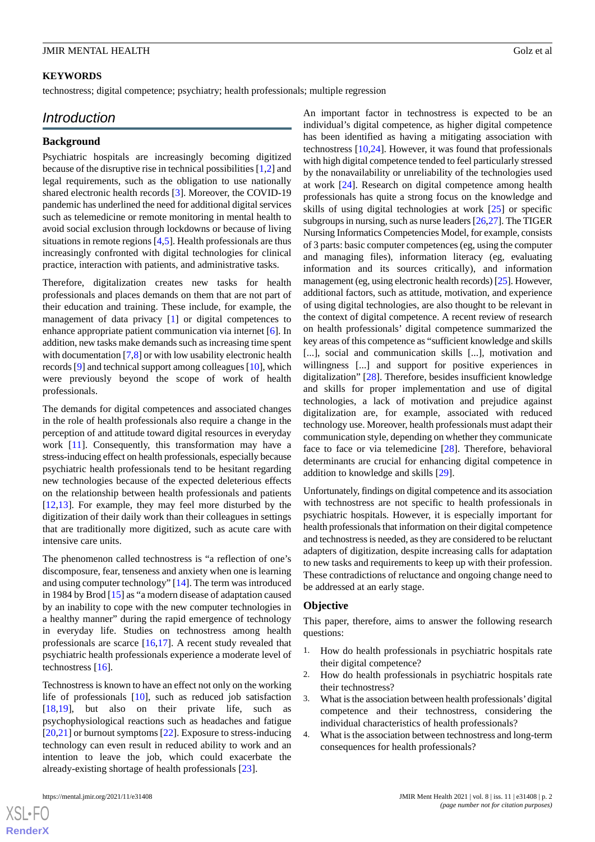### **KEYWORDS**

technostress; digital competence; psychiatry; health professionals; multiple regression

## *Introduction*

### **Background**

Psychiatric hospitals are increasingly becoming digitized because of the disruptive rise in technical possibilities [\[1](#page-7-0),[2\]](#page-7-1) and legal requirements, such as the obligation to use nationally shared electronic health records [\[3](#page-7-2)]. Moreover, the COVID-19 pandemic has underlined the need for additional digital services such as telemedicine or remote monitoring in mental health to avoid social exclusion through lockdowns or because of living situations in remote regions [\[4](#page-7-3)[,5\]](#page-7-4). Health professionals are thus increasingly confronted with digital technologies for clinical practice, interaction with patients, and administrative tasks.

Therefore, digitalization creates new tasks for health professionals and places demands on them that are not part of their education and training. These include, for example, the management of data privacy [[1\]](#page-7-0) or digital competences to enhance appropriate patient communication via internet [\[6](#page-7-5)]. In addition, new tasks make demands such as increasing time spent with documentation [\[7](#page-8-0),[8\]](#page-8-1) or with low usability electronic health records [\[9](#page-8-2)] and technical support among colleagues [[10\]](#page-8-3), which were previously beyond the scope of work of health professionals.

The demands for digital competences and associated changes in the role of health professionals also require a change in the perception of and attitude toward digital resources in everyday work [[11\]](#page-8-4). Consequently, this transformation may have a stress-inducing effect on health professionals, especially because psychiatric health professionals tend to be hesitant regarding new technologies because of the expected deleterious effects on the relationship between health professionals and patients [[12](#page-8-5)[,13](#page-8-6)]. For example, they may feel more disturbed by the digitization of their daily work than their colleagues in settings that are traditionally more digitized, such as acute care with intensive care units.

The phenomenon called technostress is "a reflection of one's discomposure, fear, tenseness and anxiety when one is learning and using computer technology" [\[14](#page-8-7)]. The term was introduced in 1984 by Brod [\[15](#page-8-8)] as "a modern disease of adaptation caused by an inability to cope with the new computer technologies in a healthy manner" during the rapid emergence of technology in everyday life. Studies on technostress among health professionals are scarce [\[16](#page-8-9),[17\]](#page-8-10). A recent study revealed that psychiatric health professionals experience a moderate level of technostress [\[16](#page-8-9)].

Technostress is known to have an effect not only on the working life of professionals [[10\]](#page-8-3), such as reduced job satisfaction [[18](#page-8-11)[,19](#page-8-12)], but also on their private life, such as psychophysiological reactions such as headaches and fatigue [[20](#page-8-13)[,21](#page-8-14)] or burnout symptoms [[22\]](#page-8-15). Exposure to stress-inducing technology can even result in reduced ability to work and an intention to leave the job, which could exacerbate the already-existing shortage of health professionals [\[23](#page-8-16)].

[XSL](http://www.w3.org/Style/XSL)•FO **[RenderX](http://www.renderx.com/)**

An important factor in technostress is expected to be an individual's digital competence, as higher digital competence has been identified as having a mitigating association with technostress  $[10,24]$  $[10,24]$  $[10,24]$ . However, it was found that professionals with high digital competence tended to feel particularly stressed by the nonavailability or unreliability of the technologies used at work [\[24](#page-8-17)]. Research on digital competence among health professionals has quite a strong focus on the knowledge and skills of using digital technologies at work [[25\]](#page-8-18) or specific subgroups in nursing, such as nurse leaders  $[26,27]$  $[26,27]$  $[26,27]$ . The TIGER Nursing Informatics Competencies Model, for example, consists of 3 parts: basic computer competences (eg, using the computer and managing files), information literacy (eg, evaluating information and its sources critically), and information management (eg, using electronic health records) [\[25\]](#page-8-18). However, additional factors, such as attitude, motivation, and experience of using digital technologies, are also thought to be relevant in the context of digital competence. A recent review of research on health professionals' digital competence summarized the key areas of this competence as "sufficient knowledge and skills [...], social and communication skills [...], motivation and willingness [...] and support for positive experiences in digitalization" [[28\]](#page-8-21). Therefore, besides insufficient knowledge and skills for proper implementation and use of digital technologies, a lack of motivation and prejudice against digitalization are, for example, associated with reduced technology use. Moreover, health professionals must adapt their communication style, depending on whether they communicate face to face or via telemedicine [[28\]](#page-8-21). Therefore, behavioral determinants are crucial for enhancing digital competence in addition to knowledge and skills [\[29](#page-9-0)].

Unfortunately, findings on digital competence and its association with technostress are not specific to health professionals in psychiatric hospitals. However, it is especially important for health professionals that information on their digital competence and technostress is needed, as they are considered to be reluctant adapters of digitization, despite increasing calls for adaptation to new tasks and requirements to keep up with their profession. These contradictions of reluctance and ongoing change need to be addressed at an early stage.

#### **Objective**

This paper, therefore, aims to answer the following research questions:

- 1. How do health professionals in psychiatric hospitals rate their digital competence?
- 2. How do health professionals in psychiatric hospitals rate their technostress?
- 3. What is the association between health professionals'digital competence and their technostress, considering the individual characteristics of health professionals?
- 4. What is the association between technostress and long-term consequences for health professionals?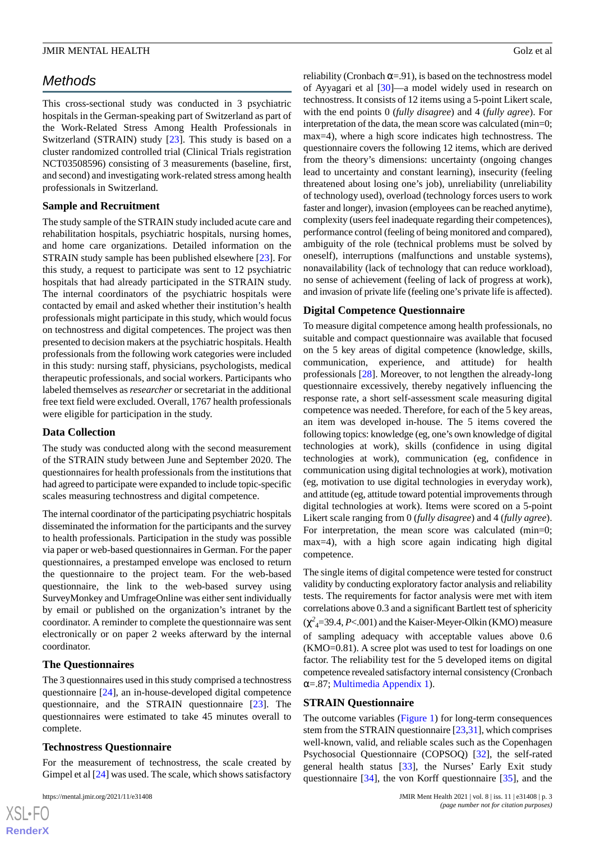## *Methods*

This cross-sectional study was conducted in 3 psychiatric hospitals in the German-speaking part of Switzerland as part of the Work-Related Stress Among Health Professionals in Switzerland (STRAIN) study [[23\]](#page-8-16). This study is based on a cluster randomized controlled trial (Clinical Trials registration NCT03508596) consisting of 3 measurements (baseline, first, and second) and investigating work-related stress among health professionals in Switzerland.

## **Sample and Recruitment**

The study sample of the STRAIN study included acute care and rehabilitation hospitals, psychiatric hospitals, nursing homes, and home care organizations. Detailed information on the STRAIN study sample has been published elsewhere [[23\]](#page-8-16). For this study, a request to participate was sent to 12 psychiatric hospitals that had already participated in the STRAIN study. The internal coordinators of the psychiatric hospitals were contacted by email and asked whether their institution's health professionals might participate in this study, which would focus on technostress and digital competences. The project was then presented to decision makers at the psychiatric hospitals. Health professionals from the following work categories were included in this study: nursing staff, physicians, psychologists, medical therapeutic professionals, and social workers. Participants who labeled themselves as *researcher* or secretariat in the additional free text field were excluded. Overall, 1767 health professionals were eligible for participation in the study.

## **Data Collection**

The study was conducted along with the second measurement of the STRAIN study between June and September 2020. The questionnaires for health professionals from the institutions that had agreed to participate were expanded to include topic-specific scales measuring technostress and digital competence.

The internal coordinator of the participating psychiatric hospitals disseminated the information for the participants and the survey to health professionals. Participation in the study was possible via paper or web-based questionnaires in German. For the paper questionnaires, a prestamped envelope was enclosed to return the questionnaire to the project team. For the web-based questionnaire, the link to the web-based survey using SurveyMonkey and UmfrageOnline was either sent individually by email or published on the organization's intranet by the coordinator. A reminder to complete the questionnaire was sent electronically or on paper 2 weeks afterward by the internal coordinator.

## **The Questionnaires**

The 3 questionnaires used in this study comprised a technostress questionnaire [[24\]](#page-8-17), an in-house-developed digital competence questionnaire, and the STRAIN questionnaire [\[23](#page-8-16)]. The questionnaires were estimated to take 45 minutes overall to complete.

## **Technostress Questionnaire**

For the measurement of technostress, the scale created by Gimpel et al [[24\]](#page-8-17) was used. The scale, which shows satisfactory

reliability (Cronbach  $\alpha = .91$ ), is based on the technostress model of Ayyagari et al [[30\]](#page-9-1)—a model widely used in research on technostress. It consists of 12 items using a 5-point Likert scale, with the end points 0 (*fully disagree*) and 4 (*fully agree*). For interpretation of the data, the mean score was calculated (min=0; max=4), where a high score indicates high technostress. The questionnaire covers the following 12 items, which are derived from the theory's dimensions: uncertainty (ongoing changes lead to uncertainty and constant learning), insecurity (feeling threatened about losing one's job), unreliability (unreliability of technology used), overload (technology forces users to work faster and longer), invasion (employees can be reached anytime), complexity (users feel inadequate regarding their competences), performance control (feeling of being monitored and compared), ambiguity of the role (technical problems must be solved by oneself), interruptions (malfunctions and unstable systems), nonavailability (lack of technology that can reduce workload), no sense of achievement (feeling of lack of progress at work), and invasion of private life (feeling one's private life is affected).

## **Digital Competence Questionnaire**

To measure digital competence among health professionals, no suitable and compact questionnaire was available that focused on the 5 key areas of digital competence (knowledge, skills, communication, experience, and attitude) for health professionals [\[28](#page-8-21)]. Moreover, to not lengthen the already-long questionnaire excessively, thereby negatively influencing the response rate, a short self-assessment scale measuring digital competence was needed. Therefore, for each of the 5 key areas, an item was developed in-house. The 5 items covered the following topics: knowledge (eg, one's own knowledge of digital technologies at work), skills (confidence in using digital technologies at work), communication (eg, confidence in communication using digital technologies at work), motivation (eg, motivation to use digital technologies in everyday work), and attitude (eg, attitude toward potential improvements through digital technologies at work). Items were scored on a 5-point Likert scale ranging from 0 (*fully disagree*) and 4 (*fully agree*). For interpretation, the mean score was calculated (min=0; max=4), with a high score again indicating high digital competence.

The single items of digital competence were tested for construct validity by conducting exploratory factor analysis and reliability tests. The requirements for factor analysis were met with item correlations above 0.3 and a significant Bartlett test of sphericity  $(\chi^2_{4} = 39.4, P < .001)$  and the Kaiser-Meyer-Olkin (KMO) measure of sampling adequacy with acceptable values above 0.6 (KMO=0.81). A scree plot was used to test for loadings on one factor. The reliability test for the 5 developed items on digital competence revealed satisfactory internal consistency (Cronbach  $\alpha = 87$ ; [Multimedia Appendix 1\)](#page-7-6).

#### **STRAIN Questionnaire**

The outcome variables [\(Figure 1](#page-3-0)) for long-term consequences stem from the STRAIN questionnaire [\[23](#page-8-16),[31\]](#page-9-2), which comprises well-known, valid, and reliable scales such as the Copenhagen Psychosocial Questionnaire (COPSOQ) [[32\]](#page-9-3), the self-rated general health status [[33\]](#page-9-4), the Nurses' Early Exit study questionnaire [\[34](#page-9-5)], the von Korff questionnaire [\[35](#page-9-6)], and the

 $XS$ -FO **[RenderX](http://www.renderx.com/)**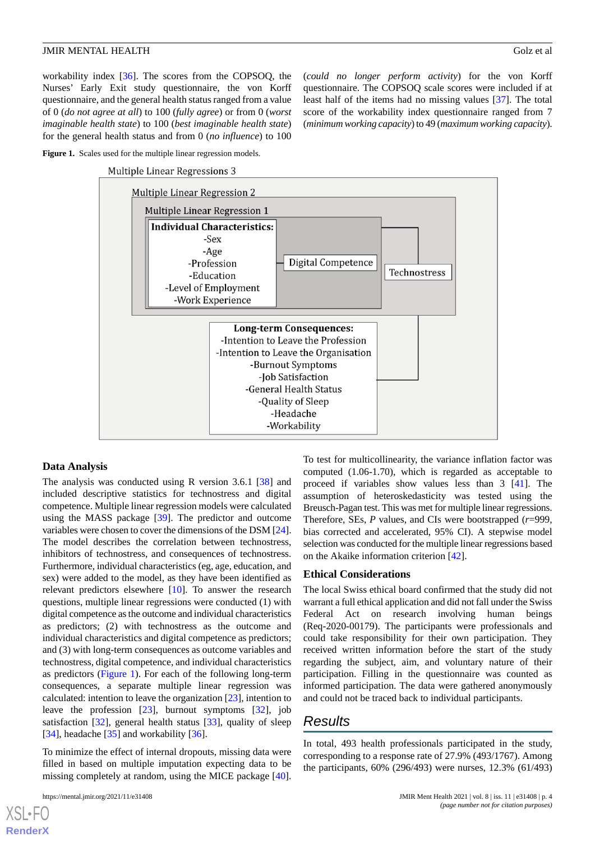workability index [[36\]](#page-9-7). The scores from the COPSOQ, the Nurses' Early Exit study questionnaire, the von Korff questionnaire, and the general health status ranged from a value of 0 (*do not agree at all*) to 100 (*fully agree*) or from 0 (*worst imaginable health state*) to 100 (*best imaginable health state*) for the general health status and from 0 (*no influence*) to 100

(*could no longer perform activity*) for the von Korff questionnaire. The COPSOQ scale scores were included if at least half of the items had no missing values [\[37](#page-9-8)]. The total score of the workability index questionnaire ranged from 7 (*minimum working capacity*) to 49 (*maximum working capacity*).

<span id="page-3-0"></span>

Multiple Linear Regressions 3



#### **Data Analysis**

The analysis was conducted using R version 3.6.1 [[38\]](#page-9-9) and included descriptive statistics for technostress and digital competence. Multiple linear regression models were calculated using the MASS package [[39\]](#page-9-10). The predictor and outcome variables were chosen to cover the dimensions of the DSM [\[24\]](#page-8-17). The model describes the correlation between technostress, inhibitors of technostress, and consequences of technostress. Furthermore, individual characteristics (eg, age, education, and sex) were added to the model, as they have been identified as relevant predictors elsewhere [\[10](#page-8-3)]. To answer the research questions, multiple linear regressions were conducted (1) with digital competence as the outcome and individual characteristics as predictors; (2) with technostress as the outcome and individual characteristics and digital competence as predictors; and (3) with long-term consequences as outcome variables and technostress, digital competence, and individual characteristics as predictors ([Figure 1](#page-3-0)). For each of the following long-term consequences, a separate multiple linear regression was calculated: intention to leave the organization [\[23](#page-8-16)], intention to leave the profession [\[23](#page-8-16)], burnout symptoms [[32\]](#page-9-3), job satisfaction [\[32](#page-9-3)], general health status [\[33](#page-9-4)], quality of sleep [[34\]](#page-9-5), headache [\[35](#page-9-6)] and workability [[36\]](#page-9-7).

To minimize the effect of internal dropouts, missing data were filled in based on multiple imputation expecting data to be missing completely at random, using the MICE package [[40\]](#page-9-11).

[XSL](http://www.w3.org/Style/XSL)•FO **[RenderX](http://www.renderx.com/)**

To test for multicollinearity, the variance inflation factor was computed (1.06-1.70), which is regarded as acceptable to proceed if variables show values less than 3 [[41\]](#page-9-12). The assumption of heteroskedasticity was tested using the Breusch-Pagan test. This was met for multiple linear regressions. Therefore, SEs, *P* values, and CIs were bootstrapped (*r*=999, bias corrected and accelerated, 95% CI). A stepwise model selection was conducted for the multiple linear regressions based on the Akaike information criterion [[42\]](#page-9-13).

#### **Ethical Considerations**

The local Swiss ethical board confirmed that the study did not warrant a full ethical application and did not fall under the Swiss Federal Act on research involving human beings (Req-2020-00179). The participants were professionals and could take responsibility for their own participation. They received written information before the start of the study regarding the subject, aim, and voluntary nature of their participation. Filling in the questionnaire was counted as informed participation. The data were gathered anonymously and could not be traced back to individual participants.

## *Results*

In total, 493 health professionals participated in the study, corresponding to a response rate of 27.9% (493/1767). Among the participants, 60% (296/493) were nurses, 12.3% (61/493)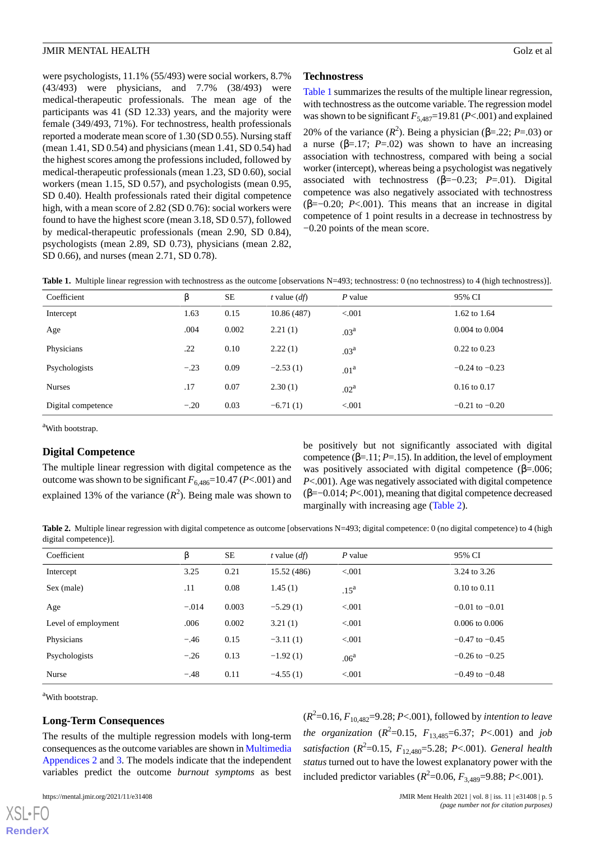were psychologists, 11.1% (55/493) were social workers, 8.7% (43/493) were physicians, and 7.7% (38/493) were medical-therapeutic professionals. The mean age of the participants was 41 (SD 12.33) years, and the majority were female (349/493, 71%). For technostress, health professionals reported a moderate mean score of 1.30 (SD 0.55). Nursing staff (mean 1.41, SD 0.54) and physicians (mean 1.41, SD 0.54) had the highest scores among the professions included, followed by medical-therapeutic professionals (mean 1.23, SD 0.60), social workers (mean 1.15, SD 0.57), and psychologists (mean 0.95, SD 0.40). Health professionals rated their digital competence high, with a mean score of 2.82 (SD 0.76): social workers were found to have the highest score (mean 3.18, SD 0.57), followed by medical-therapeutic professionals (mean 2.90, SD 0.84), psychologists (mean 2.89, SD 0.73), physicians (mean 2.82, SD 0.66), and nurses (mean 2.71, SD 0.78).

#### **Technostress**

[Table 1](#page-4-0) summarizes the results of the multiple linear regression, with technostress as the outcome variable. The regression model was shown to be significant  $F_{5,487}=19.81$  (*P*<.001) and explained 20% of the variance  $(R^2)$ . Being a physician (β=.22; *P*=.03) or a nurse ( $\beta$ =.17; *P*=.02) was shown to have an increasing association with technostress, compared with being a social worker (intercept), whereas being a psychologist was negatively associated with technostress (β=−0.23; *P*=.01). Digital competence was also negatively associated with technostress ( $\beta = -0.20$ ; *P*<.001). This means that an increase in digital competence of 1 point results in a decrease in technostress by −0.20 points of the mean score.

<span id="page-4-0"></span>

|  |  |  | Table 1. Multiple linear regression with technostress as the outcome [observations N=493; technostress: 0 (no technostress) to 4 (high technostress)]. |
|--|--|--|--------------------------------------------------------------------------------------------------------------------------------------------------------|
|--|--|--|--------------------------------------------------------------------------------------------------------------------------------------------------------|

| Coefficient        | ß      | SE    | t value $(df)$ | $P$ value        | 95% CI             |
|--------------------|--------|-------|----------------|------------------|--------------------|
| Intercept          | 1.63   | 0.15  | 10.86 (487)    | < 0.001          | 1.62 to 1.64       |
| Age                | .004   | 0.002 | 2.21(1)        | .03 <sup>a</sup> | $0.004$ to $0.004$ |
| Physicians         | .22    | 0.10  | 2.22(1)        | .03 <sup>a</sup> | $0.22$ to $0.23$   |
| Psychologists      | $-.23$ | 0.09  | $-2.53(1)$     | .01 <sup>a</sup> | $-0.24$ to $-0.23$ |
| <b>Nurses</b>      | .17    | 0.07  | 2.30(1)        | .02 <sup>a</sup> | $0.16$ to $0.17$   |
| Digital competence | $-.20$ | 0.03  | $-6.71(1)$     | < 0.001          | $-0.21$ to $-0.20$ |

<sup>a</sup>With bootstrap.

#### **Digital Competence**

<span id="page-4-1"></span>The multiple linear regression with digital competence as the outcome was shown to be significant  $F_{6,486}$ =10.47 (*P*<.001) and explained 13% of the variance  $(R^2)$ . Being male was shown to

be positively but not significantly associated with digital competence  $(\beta = 11; P = 15)$ . In addition, the level of employment was positively associated with digital competence  $(\beta = .006)$ ; *P*<.001). Age was negatively associated with digital competence (β=−0.014; *P*<.001), meaning that digital competence decreased marginally with increasing age ([Table 2](#page-4-1)).

Table 2. Multiple linear regression with digital competence as outcome [observations N=493; digital competence: 0 (no digital competence) to 4 (high digital competence)].

| Coefficient         | ß       | SE    | t value $(df)$ | $P$ value        | 95% CI                  |
|---------------------|---------|-------|----------------|------------------|-------------------------|
| Intercept           | 3.25    | 0.21  | 15.52 (486)    | < 0.001          | 3.24 to 3.26            |
| Sex (male)          | .11     | 0.08  | 1.45(1)        | .15 <sup>a</sup> | $0.10 \text{ to } 0.11$ |
| Age                 | $-.014$ | 0.003 | $-5.29(1)$     | < 0.001          | $-0.01$ to $-0.01$      |
| Level of employment | .006    | 0.002 | 3.21(1)        | < 0.001          | $0.006$ to $0.006$      |
| Physicians          | $-.46$  | 0.15  | $-3.11(1)$     | < 0.001          | $-0.47$ to $-0.45$      |
| Psychologists       | $-.26$  | 0.13  | $-1.92(1)$     | .06 <sup>a</sup> | $-0.26$ to $-0.25$      |
| Nurse               | $-.48$  | 0.11  | $-4.55(1)$     | < 0.001          | $-0.49$ to $-0.48$      |

<sup>a</sup>With bootstrap.

[XSL](http://www.w3.org/Style/XSL)•FO **[RenderX](http://www.renderx.com/)**

#### **Long-Term Consequences**

The results of the multiple regression models with long-term consequences as the outcome variables are shown in [Multimedia](#page-7-7) [Appendices 2](#page-7-7) and [3.](#page-7-8) The models indicate that the independent variables predict the outcome *burnout symptoms* as best

(*R* 2 =0.16, *F*10,482=9.28; *P*<.001), followed by *intention to leave the organization*  $(R^2=0.15, F_{13,485}=6.37; P<.001)$  and *job satisfaction* (*R* 2 =0.15, *F*12,480=5.28; *P*<.001). *General health status* turned out to have the lowest explanatory power with the included predictor variables  $(R^2=0.06, F_{3,489}=9.88; P<.001)$ .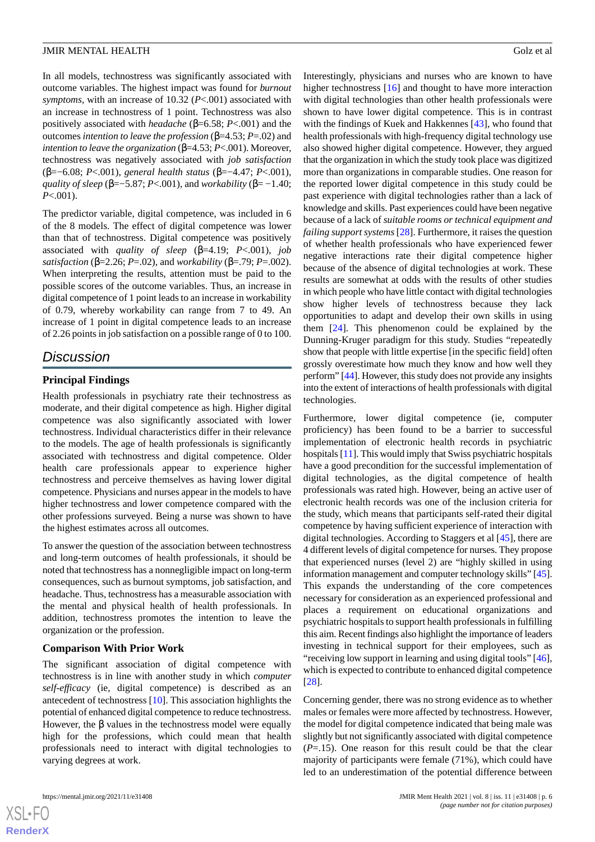In all models, technostress was significantly associated with outcome variables. The highest impact was found for *burnout symptoms*, with an increase of 10.32 (*P*<.001) associated with an increase in technostress of 1 point. Technostress was also positively associated with *headache* (β=6.58; *P*<.001) and the outcomes *intention to leave the profession* (β=4.53; *P*=.02) and *intention to leave the organization* (β=4.53; *P*<.001). Moreover, technostress was negatively associated with *job satisfaction* (β=−6.08; *P*<.001), *general health status* (β=−4.47; *P*<.001), *quality of sleep* (β=−5.87; *P*<.001), and *workability* (β= −1.40; *P*<.001).

The predictor variable, digital competence, was included in 6 of the 8 models. The effect of digital competence was lower than that of technostress. Digital competence was positively associated with *quality of sleep* (β=4.19; *P*<.001), *job satisfaction* (β=2.26; *P*=.02), and *workability* (β=.79; *P*=.002). When interpreting the results, attention must be paid to the possible scores of the outcome variables. Thus, an increase in digital competence of 1 point leads to an increase in workability of 0.79, whereby workability can range from 7 to 49. An increase of 1 point in digital competence leads to an increase of 2.26 points in job satisfaction on a possible range of 0 to 100.

## *Discussion*

## **Principal Findings**

Health professionals in psychiatry rate their technostress as moderate, and their digital competence as high. Higher digital competence was also significantly associated with lower technostress. Individual characteristics differ in their relevance to the models. The age of health professionals is significantly associated with technostress and digital competence. Older health care professionals appear to experience higher technostress and perceive themselves as having lower digital competence. Physicians and nurses appear in the models to have higher technostress and lower competence compared with the other professions surveyed. Being a nurse was shown to have the highest estimates across all outcomes.

To answer the question of the association between technostress and long-term outcomes of health professionals, it should be noted that technostress has a nonnegligible impact on long-term consequences, such as burnout symptoms, job satisfaction, and headache. Thus, technostress has a measurable association with the mental and physical health of health professionals. In addition, technostress promotes the intention to leave the organization or the profession.

## **Comparison With Prior Work**

The significant association of digital competence with technostress is in line with another study in which *computer self-efficacy* (ie, digital competence) is described as an antecedent of technostress [\[10](#page-8-3)]. This association highlights the potential of enhanced digital competence to reduce technostress. However, the  $\beta$  values in the technostress model were equally high for the professions, which could mean that health professionals need to interact with digital technologies to varying degrees at work.

Interestingly, physicians and nurses who are known to have higher technostress [\[16](#page-8-9)] and thought to have more interaction with digital technologies than other health professionals were shown to have lower digital competence. This is in contrast with the findings of Kuek and Hakkennes [\[43](#page-9-14)], who found that health professionals with high-frequency digital technology use also showed higher digital competence. However, they argued that the organization in which the study took place was digitized more than organizations in comparable studies. One reason for the reported lower digital competence in this study could be past experience with digital technologies rather than a lack of knowledge and skills. Past experiences could have been negative because of a lack of *suitable rooms or technical equipment and failing support systems* [\[28](#page-8-21)]. Furthermore, it raises the question of whether health professionals who have experienced fewer negative interactions rate their digital competence higher because of the absence of digital technologies at work. These results are somewhat at odds with the results of other studies in which people who have little contact with digital technologies show higher levels of technostress because they lack opportunities to adapt and develop their own skills in using them [[24\]](#page-8-17). This phenomenon could be explained by the Dunning-Kruger paradigm for this study. Studies "repeatedly show that people with little expertise [in the specific field] often grossly overestimate how much they know and how well they perform" [[44](#page-9-15)]. However, this study does not provide any insights into the extent of interactions of health professionals with digital technologies.

Furthermore, lower digital competence (ie, computer proficiency) has been found to be a barrier to successful implementation of electronic health records in psychiatric hospitals [[11](#page-8-4)]. This would imply that Swiss psychiatric hospitals have a good precondition for the successful implementation of digital technologies, as the digital competence of health professionals was rated high. However, being an active user of electronic health records was one of the inclusion criteria for the study, which means that participants self-rated their digital competence by having sufficient experience of interaction with digital technologies. According to Staggers et al [\[45](#page-9-16)], there are 4 different levels of digital competence for nurses. They propose that experienced nurses (level 2) are "highly skilled in using information management and computer technology skills" [\[45](#page-9-16)]. This expands the understanding of the core competences necessary for consideration as an experienced professional and places a requirement on educational organizations and psychiatric hospitals to support health professionals in fulfilling this aim. Recent findings also highlight the importance of leaders investing in technical support for their employees, such as "receiving low support in learning and using digital tools" [[46\]](#page-9-17), which is expected to contribute to enhanced digital competence [[28\]](#page-8-21).

Concerning gender, there was no strong evidence as to whether males or females were more affected by technostress. However, the model for digital competence indicated that being male was slightly but not significantly associated with digital competence (*P*=.15). One reason for this result could be that the clear majority of participants were female (71%), which could have led to an underestimation of the potential difference between

```
XSI - F(
```
**[RenderX](http://www.renderx.com/)**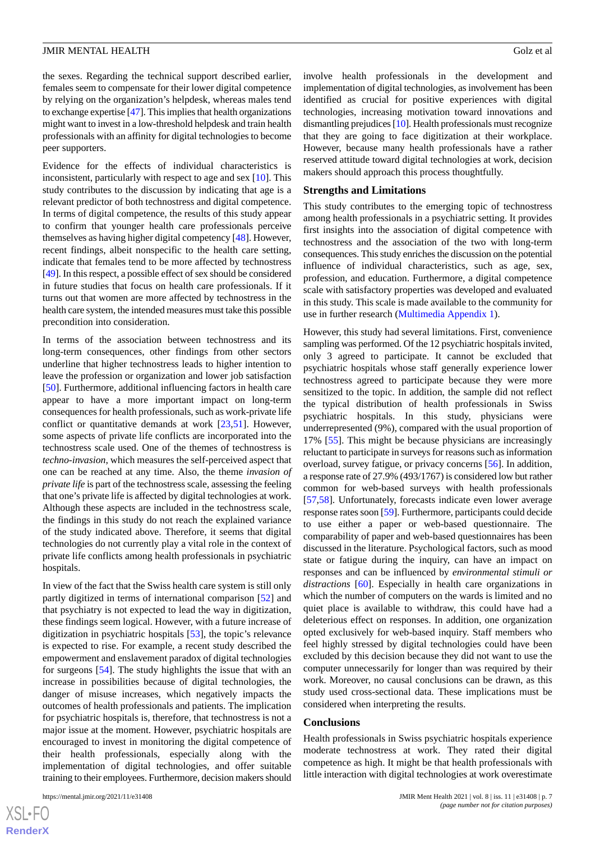the sexes. Regarding the technical support described earlier, females seem to compensate for their lower digital competence by relying on the organization's helpdesk, whereas males tend to exchange expertise [\[47](#page-9-18)]. This implies that health organizations might want to invest in a low-threshold helpdesk and train health professionals with an affinity for digital technologies to become peer supporters.

Evidence for the effects of individual characteristics is inconsistent, particularly with respect to age and sex [[10\]](#page-8-3). This study contributes to the discussion by indicating that age is a relevant predictor of both technostress and digital competence. In terms of digital competence, the results of this study appear to confirm that younger health care professionals perceive themselves as having higher digital competency [[48\]](#page-9-19). However, recent findings, albeit nonspecific to the health care setting, indicate that females tend to be more affected by technostress [[49\]](#page-9-20). In this respect, a possible effect of sex should be considered in future studies that focus on health care professionals. If it turns out that women are more affected by technostress in the health care system, the intended measures must take this possible precondition into consideration.

In terms of the association between technostress and its long-term consequences, other findings from other sectors underline that higher technostress leads to higher intention to leave the profession or organization and lower job satisfaction [[50\]](#page-9-21). Furthermore, additional influencing factors in health care appear to have a more important impact on long-term consequences for health professionals, such as work-private life conflict or quantitative demands at work [[23](#page-8-16)[,51](#page-9-22)]. However, some aspects of private life conflicts are incorporated into the technostress scale used. One of the themes of technostress is *techno-invasion*, which measures the self-perceived aspect that one can be reached at any time. Also, the theme *invasion of private life* is part of the technostress scale, assessing the feeling that one's private life is affected by digital technologies at work. Although these aspects are included in the technostress scale, the findings in this study do not reach the explained variance of the study indicated above. Therefore, it seems that digital technologies do not currently play a vital role in the context of private life conflicts among health professionals in psychiatric hospitals.

In view of the fact that the Swiss health care system is still only partly digitized in terms of international comparison [[52\]](#page-9-23) and that psychiatry is not expected to lead the way in digitization, these findings seem logical. However, with a future increase of digitization in psychiatric hospitals [\[53](#page-9-24)], the topic's relevance is expected to rise. For example, a recent study described the empowerment and enslavement paradox of digital technologies for surgeons [\[54](#page-9-25)]. The study highlights the issue that with an increase in possibilities because of digital technologies, the danger of misuse increases, which negatively impacts the outcomes of health professionals and patients. The implication for psychiatric hospitals is, therefore, that technostress is not a major issue at the moment. However, psychiatric hospitals are encouraged to invest in monitoring the digital competence of their health professionals, especially along with the implementation of digital technologies, and offer suitable training to their employees. Furthermore, decision makers should

[XSL](http://www.w3.org/Style/XSL)•FO **[RenderX](http://www.renderx.com/)** involve health professionals in the development and implementation of digital technologies, as involvement has been identified as crucial for positive experiences with digital technologies, increasing motivation toward innovations and dismantling prejudices [\[10\]](#page-8-3). Health professionals must recognize that they are going to face digitization at their workplace. However, because many health professionals have a rather reserved attitude toward digital technologies at work, decision makers should approach this process thoughtfully.

#### **Strengths and Limitations**

This study contributes to the emerging topic of technostress among health professionals in a psychiatric setting. It provides first insights into the association of digital competence with technostress and the association of the two with long-term consequences. This study enriches the discussion on the potential influence of individual characteristics, such as age, sex, profession, and education. Furthermore, a digital competence scale with satisfactory properties was developed and evaluated in this study. This scale is made available to the community for use in further research ([Multimedia Appendix 1\)](#page-7-6).

However, this study had several limitations. First, convenience sampling was performed. Of the 12 psychiatric hospitals invited, only 3 agreed to participate. It cannot be excluded that psychiatric hospitals whose staff generally experience lower technostress agreed to participate because they were more sensitized to the topic. In addition, the sample did not reflect the typical distribution of health professionals in Swiss psychiatric hospitals. In this study, physicians were underrepresented (9%), compared with the usual proportion of 17% [[55\]](#page-9-26). This might be because physicians are increasingly reluctant to participate in surveys for reasons such as information overload, survey fatigue, or privacy concerns [\[56](#page-10-0)]. In addition, a response rate of 27.9% (493/1767) is considered low but rather common for web-based surveys with health professionals [[57,](#page-10-1)[58\]](#page-10-2). Unfortunately, forecasts indicate even lower average response rates soon [\[59](#page-10-3)]. Furthermore, participants could decide to use either a paper or web-based questionnaire. The comparability of paper and web-based questionnaires has been discussed in the literature. Psychological factors, such as mood state or fatigue during the inquiry, can have an impact on responses and can be influenced by *environmental stimuli or distractions* [\[60](#page-10-4)]. Especially in health care organizations in which the number of computers on the wards is limited and no quiet place is available to withdraw, this could have had a deleterious effect on responses. In addition, one organization opted exclusively for web-based inquiry. Staff members who feel highly stressed by digital technologies could have been excluded by this decision because they did not want to use the computer unnecessarily for longer than was required by their work. Moreover, no causal conclusions can be drawn, as this study used cross-sectional data. These implications must be considered when interpreting the results.

#### **Conclusions**

Health professionals in Swiss psychiatric hospitals experience moderate technostress at work. They rated their digital competence as high. It might be that health professionals with little interaction with digital technologies at work overestimate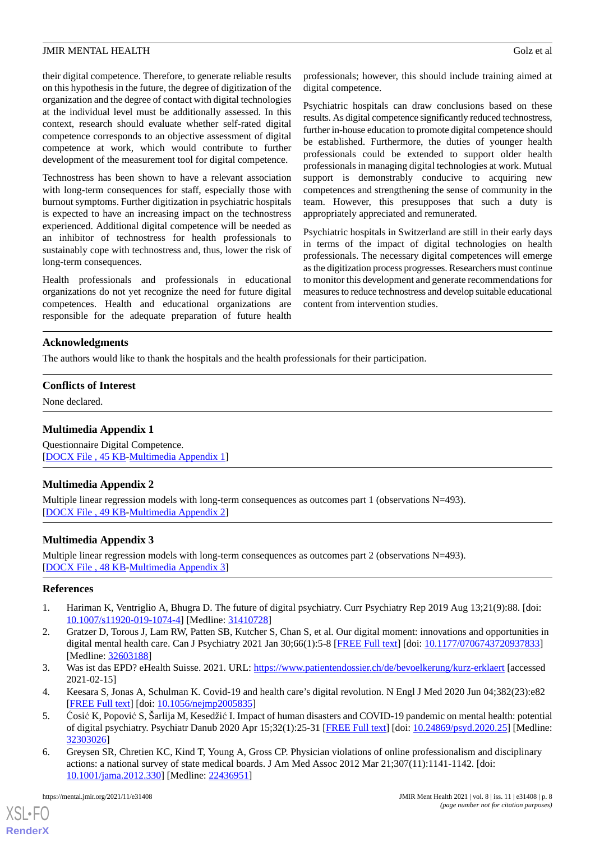their digital competence. Therefore, to generate reliable results on this hypothesis in the future, the degree of digitization of the organization and the degree of contact with digital technologies at the individual level must be additionally assessed. In this context, research should evaluate whether self-rated digital competence corresponds to an objective assessment of digital competence at work, which would contribute to further development of the measurement tool for digital competence.

Technostress has been shown to have a relevant association with long-term consequences for staff, especially those with burnout symptoms. Further digitization in psychiatric hospitals is expected to have an increasing impact on the technostress experienced. Additional digital competence will be needed as an inhibitor of technostress for health professionals to sustainably cope with technostress and, thus, lower the risk of long-term consequences.

Health professionals and professionals in educational organizations do not yet recognize the need for future digital competences. Health and educational organizations are responsible for the adequate preparation of future health

professionals; however, this should include training aimed at digital competence.

Psychiatric hospitals can draw conclusions based on these results. As digital competence significantly reduced technostress, further in-house education to promote digital competence should be established. Furthermore, the duties of younger health professionals could be extended to support older health professionals in managing digital technologies at work. Mutual support is demonstrably conducive to acquiring new competences and strengthening the sense of community in the team. However, this presupposes that such a duty is appropriately appreciated and remunerated.

Psychiatric hospitals in Switzerland are still in their early days in terms of the impact of digital technologies on health professionals. The necessary digital competences will emerge as the digitization process progresses. Researchers must continue to monitor this development and generate recommendations for measures to reduce technostress and develop suitable educational content from intervention studies.

## **Acknowledgments**

The authors would like to thank the hospitals and the health professionals for their participation.

## <span id="page-7-6"></span>**Conflicts of Interest**

None declared.

## <span id="page-7-7"></span>**Multimedia Appendix 1**

Questionnaire Digital Competence. [[DOCX File , 45 KB](https://jmir.org/api/download?alt_name=mental_v8i11e31408_app1.docx&filename=0f5a4ca58c8e6e78ca1eb7ab4cea6dcb.docx)-[Multimedia Appendix 1\]](https://jmir.org/api/download?alt_name=mental_v8i11e31408_app1.docx&filename=0f5a4ca58c8e6e78ca1eb7ab4cea6dcb.docx)

## <span id="page-7-8"></span>**Multimedia Appendix 2**

Multiple linear regression models with long-term consequences as outcomes part 1 (observations N=493). [[DOCX File , 49 KB](https://jmir.org/api/download?alt_name=mental_v8i11e31408_app2.docx&filename=328518e6a2dd487abc59a81c25c7c6f7.docx)-[Multimedia Appendix 2\]](https://jmir.org/api/download?alt_name=mental_v8i11e31408_app2.docx&filename=328518e6a2dd487abc59a81c25c7c6f7.docx)

## **Multimedia Appendix 3**

<span id="page-7-1"></span><span id="page-7-0"></span>Multiple linear regression models with long-term consequences as outcomes part 2 (observations N=493). [[DOCX File , 48 KB](https://jmir.org/api/download?alt_name=mental_v8i11e31408_app3.docx&filename=05b061d45fd656cbf5dc9c8b2e4b8159.docx)-[Multimedia Appendix 3\]](https://jmir.org/api/download?alt_name=mental_v8i11e31408_app3.docx&filename=05b061d45fd656cbf5dc9c8b2e4b8159.docx)

## **References**

- <span id="page-7-2"></span>1. Hariman K, Ventriglio A, Bhugra D. The future of digital psychiatry. Curr Psychiatry Rep 2019 Aug 13;21(9):88. [doi: [10.1007/s11920-019-1074-4\]](http://dx.doi.org/10.1007/s11920-019-1074-4) [Medline: [31410728](http://www.ncbi.nlm.nih.gov/entrez/query.fcgi?cmd=Retrieve&db=PubMed&list_uids=31410728&dopt=Abstract)]
- <span id="page-7-4"></span><span id="page-7-3"></span>2. Gratzer D, Torous J, Lam RW, Patten SB, Kutcher S, Chan S, et al. Our digital moment: innovations and opportunities in digital mental health care. Can J Psychiatry 2021 Jan 30;66(1):5-8 [\[FREE Full text\]](http://europepmc.org/abstract/MED/32603188) [doi: [10.1177/0706743720937833](http://dx.doi.org/10.1177/0706743720937833)] [Medline: [32603188](http://www.ncbi.nlm.nih.gov/entrez/query.fcgi?cmd=Retrieve&db=PubMed&list_uids=32603188&dopt=Abstract)]
- <span id="page-7-5"></span>3. Was ist das EPD? eHealth Suisse. 2021. URL:<https://www.patientendossier.ch/de/bevoelkerung/kurz-erklaert> [accessed 2021-02-15]
- 4. Keesara S, Jonas A, Schulman K. Covid-19 and health care's digital revolution. N Engl J Med 2020 Jun 04;382(23):e82 [[FREE Full text](http://paperpile.com/b/Jwnkjq/JPc4)] [doi: [10.1056/nejmp2005835\]](http://dx.doi.org/10.1056/nejmp2005835)
- 5. Ćosić K, PopovićS, Šarlija M, Kesedžić I. Impact of human disasters and COVID-19 pandemic on mental health: potential of digital psychiatry. Psychiatr Danub 2020 Apr 15;32(1):25-31 [\[FREE Full text](http://www.psychiatria-danubina.com/UserDocsImages/pdf/dnb_vol32_no1/dnb_vol32_no1_25.pdf)] [doi: [10.24869/psyd.2020.25\]](http://dx.doi.org/10.24869/psyd.2020.25) [Medline: [32303026](http://www.ncbi.nlm.nih.gov/entrez/query.fcgi?cmd=Retrieve&db=PubMed&list_uids=32303026&dopt=Abstract)]
- 6. Greysen SR, Chretien KC, Kind T, Young A, Gross CP. Physician violations of online professionalism and disciplinary actions: a national survey of state medical boards. J Am Med Assoc 2012 Mar 21;307(11):1141-1142. [doi: [10.1001/jama.2012.330](http://dx.doi.org/10.1001/jama.2012.330)] [Medline: [22436951](http://www.ncbi.nlm.nih.gov/entrez/query.fcgi?cmd=Retrieve&db=PubMed&list_uids=22436951&dopt=Abstract)]

[XSL](http://www.w3.org/Style/XSL)•FO **[RenderX](http://www.renderx.com/)**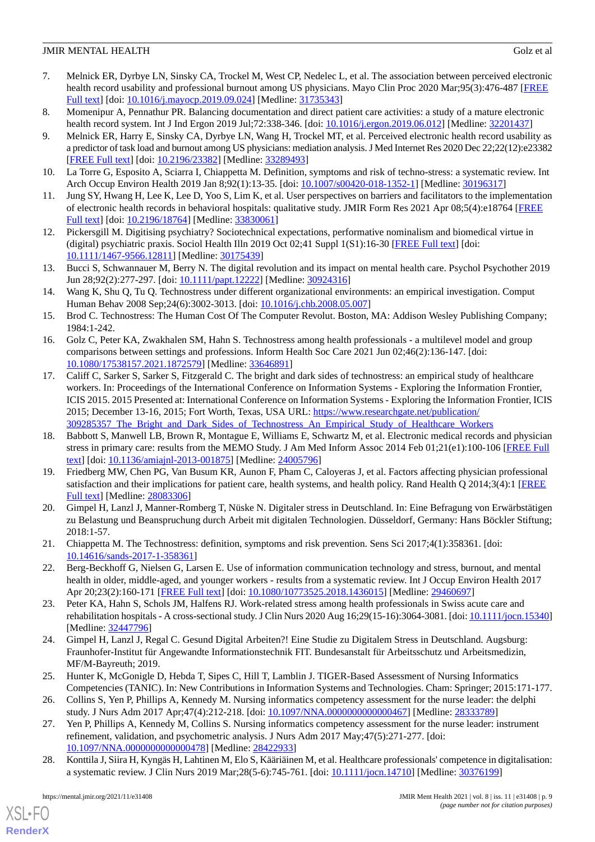- <span id="page-8-0"></span>7. Melnick ER, Dyrbye LN, Sinsky CA, Trockel M, West CP, Nedelec L, et al. The association between perceived electronic health record usability and professional burnout among US physicians. Mayo Clin Proc 2020 Mar;95(3):476-487 [\[FREE](https://linkinghub.elsevier.com/retrieve/pii/S0025-6196(19)30836-5) [Full text\]](https://linkinghub.elsevier.com/retrieve/pii/S0025-6196(19)30836-5) [doi: [10.1016/j.mayocp.2019.09.024\]](http://dx.doi.org/10.1016/j.mayocp.2019.09.024) [Medline: [31735343\]](http://www.ncbi.nlm.nih.gov/entrez/query.fcgi?cmd=Retrieve&db=PubMed&list_uids=31735343&dopt=Abstract)
- <span id="page-8-2"></span><span id="page-8-1"></span>8. Momenipur A, Pennathur PR. Balancing documentation and direct patient care activities: a study of a mature electronic health record system. Int J Ind Ergon 2019 Jul;72:338-346. [doi: [10.1016/j.ergon.2019.06.012\]](http://dx.doi.org/10.1016/j.ergon.2019.06.012) [Medline: [32201437\]](http://www.ncbi.nlm.nih.gov/entrez/query.fcgi?cmd=Retrieve&db=PubMed&list_uids=32201437&dopt=Abstract)
- 9. Melnick ER, Harry E, Sinsky CA, Dyrbye LN, Wang H, Trockel MT, et al. Perceived electronic health record usability as a predictor of task load and burnout among US physicians: mediation analysis. J Med Internet Res 2020 Dec 22;22(12):e23382 [[FREE Full text](https://www.jmir.org/2020/12/e23382/)] [doi: [10.2196/23382\]](http://dx.doi.org/10.2196/23382) [Medline: [33289493\]](http://www.ncbi.nlm.nih.gov/entrez/query.fcgi?cmd=Retrieve&db=PubMed&list_uids=33289493&dopt=Abstract)
- <span id="page-8-4"></span><span id="page-8-3"></span>10. La Torre G, Esposito A, Sciarra I, Chiappetta M. Definition, symptoms and risk of techno-stress: a systematic review. Int Arch Occup Environ Health 2019 Jan 8;92(1):13-35. [doi: [10.1007/s00420-018-1352-1\]](http://dx.doi.org/10.1007/s00420-018-1352-1) [Medline: [30196317](http://www.ncbi.nlm.nih.gov/entrez/query.fcgi?cmd=Retrieve&db=PubMed&list_uids=30196317&dopt=Abstract)]
- <span id="page-8-5"></span>11. Jung SY, Hwang H, Lee K, Lee D, Yoo S, Lim K, et al. User perspectives on barriers and facilitators to the implementation of electronic health records in behavioral hospitals: qualitative study. JMIR Form Res 2021 Apr 08;5(4):e18764 [[FREE](https://formative.jmir.org/2021/4/e18764/) [Full text\]](https://formative.jmir.org/2021/4/e18764/) [doi: [10.2196/18764\]](http://dx.doi.org/10.2196/18764) [Medline: [33830061](http://www.ncbi.nlm.nih.gov/entrez/query.fcgi?cmd=Retrieve&db=PubMed&list_uids=33830061&dopt=Abstract)]
- <span id="page-8-6"></span>12. Pickersgill M. Digitising psychiatry? Sociotechnical expectations, performative nominalism and biomedical virtue in (digital) psychiatric praxis. Sociol Health Illn 2019 Oct 02;41 Suppl 1(S1):16-30 [\[FREE Full text\]](http://europepmc.org/abstract/MED/30175439) [doi: [10.1111/1467-9566.12811\]](http://dx.doi.org/10.1111/1467-9566.12811) [Medline: [30175439](http://www.ncbi.nlm.nih.gov/entrez/query.fcgi?cmd=Retrieve&db=PubMed&list_uids=30175439&dopt=Abstract)]
- <span id="page-8-7"></span>13. Bucci S, Schwannauer M, Berry N. The digital revolution and its impact on mental health care. Psychol Psychother 2019 Jun 28;92(2):277-297. [doi: [10.1111/papt.12222\]](http://dx.doi.org/10.1111/papt.12222) [Medline: [30924316\]](http://www.ncbi.nlm.nih.gov/entrez/query.fcgi?cmd=Retrieve&db=PubMed&list_uids=30924316&dopt=Abstract)
- <span id="page-8-8"></span>14. Wang K, Shu Q, Tu Q. Technostress under different organizational environments: an empirical investigation. Comput Human Behav 2008 Sep;24(6):3002-3013. [doi: [10.1016/j.chb.2008.05.007\]](http://dx.doi.org/10.1016/j.chb.2008.05.007)
- <span id="page-8-9"></span>15. Brod C. Technostress: The Human Cost Of The Computer Revolut. Boston, MA: Addison Wesley Publishing Company; 1984:1-242.
- <span id="page-8-10"></span>16. Golz C, Peter KA, Zwakhalen SM, Hahn S. Technostress among health professionals - a multilevel model and group comparisons between settings and professions. Inform Health Soc Care 2021 Jun 02;46(2):136-147. [doi: [10.1080/17538157.2021.1872579\]](http://dx.doi.org/10.1080/17538157.2021.1872579) [Medline: [33646891\]](http://www.ncbi.nlm.nih.gov/entrez/query.fcgi?cmd=Retrieve&db=PubMed&list_uids=33646891&dopt=Abstract)
- <span id="page-8-11"></span>17. Califf C, Sarker S, Sarker S, Fitzgerald C. The bright and dark sides of technostress: an empirical study of healthcare workers. In: Proceedings of the International Conference on Information Systems - Exploring the Information Frontier, ICIS 2015. 2015 Presented at: International Conference on Information Systems - Exploring the Information Frontier, ICIS 2015; December 13-16, 2015; Fort Worth, Texas, USA URL: [https://www.researchgate.net/publication/](https://www.researchgate.net/publication/309285357_The_Bright_and_Dark_Sides_of_Technostress_An_Empirical_Study_of_Healthcare_Workers) [309285357\\_The\\_Bright\\_and\\_Dark\\_Sides\\_of\\_Technostress\\_An\\_Empirical\\_Study\\_of\\_Healthcare\\_Workers](https://www.researchgate.net/publication/309285357_The_Bright_and_Dark_Sides_of_Technostress_An_Empirical_Study_of_Healthcare_Workers)
- <span id="page-8-12"></span>18. Babbott S, Manwell LB, Brown R, Montague E, Williams E, Schwartz M, et al. Electronic medical records and physician stress in primary care: results from the MEMO Study. J Am Med Inform Assoc 2014 Feb 01;21(e1):100-106 [[FREE Full](http://europepmc.org/abstract/MED/24005796) [text](http://europepmc.org/abstract/MED/24005796)] [doi: [10.1136/amiajnl-2013-001875](http://dx.doi.org/10.1136/amiajnl-2013-001875)] [Medline: [24005796](http://www.ncbi.nlm.nih.gov/entrez/query.fcgi?cmd=Retrieve&db=PubMed&list_uids=24005796&dopt=Abstract)]
- <span id="page-8-14"></span><span id="page-8-13"></span>19. Friedberg MW, Chen PG, Van Busum KR, Aunon F, Pham C, Caloyeras J, et al. Factors affecting physician professional satisfaction and their implications for patient care, health systems, and health policy. Rand Health Q 2014;3(4):1 [[FREE](http://europepmc.org/abstract/MED/28083306) [Full text\]](http://europepmc.org/abstract/MED/28083306) [Medline: [28083306\]](http://www.ncbi.nlm.nih.gov/entrez/query.fcgi?cmd=Retrieve&db=PubMed&list_uids=28083306&dopt=Abstract)
- <span id="page-8-15"></span>20. Gimpel H, Lanzl J, Manner-Romberg T, Nüske N. Digitaler stress in Deutschland. In: Eine Befragung von Erwärbstätigen zu Belastung und Beanspruchung durch Arbeit mit digitalen Technologien. Düsseldorf, Germany: Hans Böckler Stiftung; 2018:1-57.
- <span id="page-8-16"></span>21. Chiappetta M. The Technostress: definition, symptoms and risk prevention. Sens Sci 2017;4(1):358361. [doi: [10.14616/sands-2017-1-358361](http://dx.doi.org/10.14616/sands-2017-1-358361)]
- <span id="page-8-17"></span>22. Berg-Beckhoff G, Nielsen G, Larsen E. Use of information communication technology and stress, burnout, and mental health in older, middle-aged, and younger workers - results from a systematic review. Int J Occup Environ Health 2017 Apr 20;23(2):160-171 [[FREE Full text](http://europepmc.org/abstract/MED/29460697)] [doi: [10.1080/10773525.2018.1436015\]](http://dx.doi.org/10.1080/10773525.2018.1436015) [Medline: [29460697\]](http://www.ncbi.nlm.nih.gov/entrez/query.fcgi?cmd=Retrieve&db=PubMed&list_uids=29460697&dopt=Abstract)
- <span id="page-8-18"></span>23. Peter KA, Hahn S, Schols JM, Halfens RJ. Work-related stress among health professionals in Swiss acute care and rehabilitation hospitals - A cross-sectional study. J Clin Nurs 2020 Aug 16;29(15-16):3064-3081. [doi: [10.1111/jocn.15340\]](http://dx.doi.org/10.1111/jocn.15340) [Medline: [32447796](http://www.ncbi.nlm.nih.gov/entrez/query.fcgi?cmd=Retrieve&db=PubMed&list_uids=32447796&dopt=Abstract)]
- <span id="page-8-20"></span><span id="page-8-19"></span>24. Gimpel H, Lanzl J, Regal C. Gesund Digital Arbeiten?! Eine Studie zu Digitalem Stress in Deutschland. Augsburg: Fraunhofer-Institut für Angewandte Informationstechnik FIT. Bundesanstalt für Arbeitsschutz und Arbeitsmedizin, MF/M-Bayreuth; 2019.
- <span id="page-8-21"></span>25. Hunter K, McGonigle D, Hebda T, Sipes C, Hill T, Lamblin J. TIGER-Based Assessment of Nursing Informatics Competencies (TANIC). In: New Contributions in Information Systems and Technologies. Cham: Springer; 2015:171-177.
- 26. Collins S, Yen P, Phillips A, Kennedy M. Nursing informatics competency assessment for the nurse leader: the delphi study. J Nurs Adm 2017 Apr;47(4):212-218. [doi: [10.1097/NNA.0000000000000467\]](http://dx.doi.org/10.1097/NNA.0000000000000467) [Medline: [28333789](http://www.ncbi.nlm.nih.gov/entrez/query.fcgi?cmd=Retrieve&db=PubMed&list_uids=28333789&dopt=Abstract)]
- 27. Yen P, Phillips A, Kennedy M, Collins S. Nursing informatics competency assessment for the nurse leader: instrument refinement, validation, and psychometric analysis. J Nurs Adm 2017 May;47(5):271-277. [doi: [10.1097/NNA.0000000000000478\]](http://dx.doi.org/10.1097/NNA.0000000000000478) [Medline: [28422933](http://www.ncbi.nlm.nih.gov/entrez/query.fcgi?cmd=Retrieve&db=PubMed&list_uids=28422933&dopt=Abstract)]
- 28. Konttila J, Siira H, Kyngäs H, Lahtinen M, Elo S, Kääriäinen M, et al. Healthcare professionals' competence in digitalisation: a systematic review. J Clin Nurs 2019 Mar; 28(5-6): 745-761. [doi: [10.1111/jocn.14710\]](http://dx.doi.org/10.1111/jocn.14710) [Medline: [30376199\]](http://www.ncbi.nlm.nih.gov/entrez/query.fcgi?cmd=Retrieve&db=PubMed&list_uids=30376199&dopt=Abstract)

[XSL](http://www.w3.org/Style/XSL)•FO **[RenderX](http://www.renderx.com/)**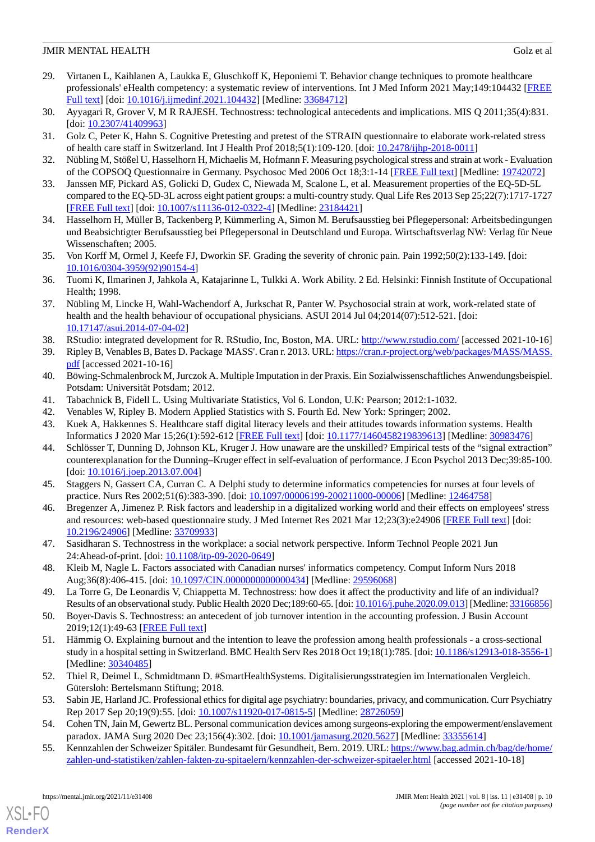- <span id="page-9-0"></span>29. Virtanen L, Kaihlanen A, Laukka E, Gluschkoff K, Heponiemi T. Behavior change techniques to promote healthcare professionals' eHealth competency: a systematic review of interventions. Int J Med Inform 2021 May;149:104432 [[FREE](https://linkinghub.elsevier.com/retrieve/pii/S1386-5056(21)00058-7) [Full text\]](https://linkinghub.elsevier.com/retrieve/pii/S1386-5056(21)00058-7) [doi: [10.1016/j.ijmedinf.2021.104432\]](http://dx.doi.org/10.1016/j.ijmedinf.2021.104432) [Medline: [33684712](http://www.ncbi.nlm.nih.gov/entrez/query.fcgi?cmd=Retrieve&db=PubMed&list_uids=33684712&dopt=Abstract)]
- <span id="page-9-2"></span><span id="page-9-1"></span>30. Ayyagari R, Grover V, M R RAJESH. Technostress: technological antecedents and implications. MIS Q 2011;35(4):831. [doi: [10.2307/41409963](http://dx.doi.org/10.2307/41409963)]
- <span id="page-9-3"></span>31. Golz C, Peter K, Hahn S. Cognitive Pretesting and pretest of the STRAIN questionnaire to elaborate work-related stress of health care staff in Switzerland. Int J Health Prof 2018;5(1):109-120. [doi: [10.2478/ijhp-2018-0011\]](http://dx.doi.org/10.2478/ijhp-2018-0011)
- <span id="page-9-4"></span>32. Nübling M, Stößel U, Hasselhorn H, Michaelis M, Hofmann F. Measuring psychological stress and strain at work - Evaluation of the COPSOQ Questionnaire in Germany. Psychosoc Med 2006 Oct 18;3:1-14 [\[FREE Full text](http://europepmc.org/abstract/MED/19742072)] [Medline: [19742072](http://www.ncbi.nlm.nih.gov/entrez/query.fcgi?cmd=Retrieve&db=PubMed&list_uids=19742072&dopt=Abstract)]
- <span id="page-9-5"></span>33. Janssen MF, Pickard AS, Golicki D, Gudex C, Niewada M, Scalone L, et al. Measurement properties of the EQ-5D-5L compared to the EQ-5D-3L across eight patient groups: a multi-country study. Qual Life Res 2013 Sep 25;22(7):1717-1727 [[FREE Full text](http://europepmc.org/abstract/MED/23184421)] [doi: [10.1007/s11136-012-0322-4\]](http://dx.doi.org/10.1007/s11136-012-0322-4) [Medline: [23184421](http://www.ncbi.nlm.nih.gov/entrez/query.fcgi?cmd=Retrieve&db=PubMed&list_uids=23184421&dopt=Abstract)]
- <span id="page-9-6"></span>34. Hasselhorn H, Müller B, Tackenberg P, Kümmerling A, Simon M. Berufsausstieg bei Pflegepersonal: Arbeitsbedingungen und Beabsichtigter Berufsausstieg bei Pflegepersonal in Deutschland und Europa. Wirtschaftsverlag NW: Verlag für Neue Wissenschaften; 2005.
- <span id="page-9-7"></span>35. Von Korff M, Ormel J, Keefe FJ, Dworkin SF. Grading the severity of chronic pain. Pain 1992;50(2):133-149. [doi: [10.1016/0304-3959\(92\)90154-4](http://dx.doi.org/10.1016/0304-3959(92)90154-4)]
- <span id="page-9-8"></span>36. Tuomi K, Ilmarinen J, Jahkola A, Katajarinne L, Tulkki A. Work Ability. 2 Ed. Helsinki: Finnish Institute of Occupational Health; 1998.
- <span id="page-9-10"></span><span id="page-9-9"></span>37. Nübling M, Lincke H, Wahl-Wachendorf A, Jurkschat R, Panter W. Psychosocial strain at work, work-related state of health and the health behaviour of occupational physicians. ASUI 2014 Jul 04;2014(07):512-521. [doi: [10.17147/asui.2014-07-04-02](http://dx.doi.org/10.17147/asui.2014-07-04-02)]
- <span id="page-9-11"></span>38. RStudio: integrated development for R. RStudio, Inc, Boston, MA. URL: <http://www.rstudio.com/> [accessed 2021-10-16]
- <span id="page-9-12"></span>39. Ripley B, Venables B, Bates D. Package 'MASS'. Cran r. 2013. URL: [https://cran.r-project.org/web/packages/MASS/MASS.](https://cran.r-project.org/web/packages/MASS/MASS.pdf) [pdf](https://cran.r-project.org/web/packages/MASS/MASS.pdf) [accessed 2021-10-16]
- <span id="page-9-14"></span><span id="page-9-13"></span>40. Böwing-Schmalenbrock M, Jurczok A. Multiple Imputation in der Praxis. Ein Sozialwissenschaftliches Anwendungsbeispiel. Potsdam: Universität Potsdam; 2012.
- <span id="page-9-15"></span>41. Tabachnick B, Fidell L. Using Multivariate Statistics, Vol 6. London, U.K: Pearson; 2012:1-1032.
- 42. Venables W, Ripley B. Modern Applied Statistics with S. Fourth Ed. New York: Springer; 2002.
- <span id="page-9-16"></span>43. Kuek A, Hakkennes S. Healthcare staff digital literacy levels and their attitudes towards information systems. Health Informatics J 2020 Mar 15;26(1):592-612 [[FREE Full text\]](https://journals.sagepub.com/doi/10.1177/1460458219839613?url_ver=Z39.88-2003&rfr_id=ori:rid:crossref.org&rfr_dat=cr_pub%3dpubmed) [doi: [10.1177/1460458219839613](http://dx.doi.org/10.1177/1460458219839613)] [Medline: [30983476](http://www.ncbi.nlm.nih.gov/entrez/query.fcgi?cmd=Retrieve&db=PubMed&list_uids=30983476&dopt=Abstract)]
- <span id="page-9-17"></span>44. Schlösser T, Dunning D, Johnson KL, Kruger J. How unaware are the unskilled? Empirical tests of the "signal extraction" counterexplanation for the Dunning–Kruger effect in self-evaluation of performance. J Econ Psychol 2013 Dec;39:85-100. [doi: [10.1016/j.joep.2013.07.004](http://dx.doi.org/10.1016/j.joep.2013.07.004)]
- <span id="page-9-18"></span>45. Staggers N, Gassert CA, Curran C. A Delphi study to determine informatics competencies for nurses at four levels of practice. Nurs Res 2002;51(6):383-390. [doi: [10.1097/00006199-200211000-00006\]](http://dx.doi.org/10.1097/00006199-200211000-00006) [Medline: [12464758](http://www.ncbi.nlm.nih.gov/entrez/query.fcgi?cmd=Retrieve&db=PubMed&list_uids=12464758&dopt=Abstract)]
- <span id="page-9-19"></span>46. Bregenzer A, Jimenez P. Risk factors and leadership in a digitalized working world and their effects on employees' stress and resources: web-based questionnaire study. J Med Internet Res 2021 Mar 12;23(3):e24906 [[FREE Full text](https://www.jmir.org/2021/3/e24906/)] [doi: [10.2196/24906\]](http://dx.doi.org/10.2196/24906) [Medline: [33709933\]](http://www.ncbi.nlm.nih.gov/entrez/query.fcgi?cmd=Retrieve&db=PubMed&list_uids=33709933&dopt=Abstract)
- <span id="page-9-21"></span><span id="page-9-20"></span>47. Sasidharan S. Technostress in the workplace: a social network perspective. Inform Technol People 2021 Jun 24:Ahead-of-print. [doi: [10.1108/itp-09-2020-0649\]](http://dx.doi.org/10.1108/itp-09-2020-0649)
- <span id="page-9-22"></span>48. Kleib M, Nagle L. Factors associated with Canadian nurses' informatics competency. Comput Inform Nurs 2018 Aug;36(8):406-415. [doi: [10.1097/CIN.0000000000000434\]](http://dx.doi.org/10.1097/CIN.0000000000000434) [Medline: [29596068\]](http://www.ncbi.nlm.nih.gov/entrez/query.fcgi?cmd=Retrieve&db=PubMed&list_uids=29596068&dopt=Abstract)
- 49. La Torre G, De Leonardis V, Chiappetta M. Technostress: how does it affect the productivity and life of an individual? Results of an observational study. Public Health 2020 Dec;189:60-65. [doi: [10.1016/j.puhe.2020.09.013](http://dx.doi.org/10.1016/j.puhe.2020.09.013)] [Medline: [33166856\]](http://www.ncbi.nlm.nih.gov/entrez/query.fcgi?cmd=Retrieve&db=PubMed&list_uids=33166856&dopt=Abstract)
- <span id="page-9-23"></span>50. Boyer-Davis S. Technostress: an antecedent of job turnover intention in the accounting profession. J Busin Account 2019;12(1):49-63 [[FREE Full text](http://asbbs.org/files/2020/JBA_Vol_13.1_Fall_2020.pdf)]
- <span id="page-9-25"></span><span id="page-9-24"></span>51. Hämmig O. Explaining burnout and the intention to leave the profession among health professionals - a cross-sectional study in a hospital setting in Switzerland. BMC Health Serv Res 2018 Oct 19;18(1):785. [doi: [10.1186/s12913-018-3556-1](http://dx.doi.org/10.1186/s12913-018-3556-1)] [Medline: [30340485](http://www.ncbi.nlm.nih.gov/entrez/query.fcgi?cmd=Retrieve&db=PubMed&list_uids=30340485&dopt=Abstract)]
- <span id="page-9-26"></span>52. Thiel R, Deimel L, Schmidtmann D. #SmartHealthSystems. Digitalisierungsstrategien im Internationalen Vergleich. Gütersloh: Bertelsmann Stiftung; 2018.
- 53. Sabin JE, Harland JC. Professional ethics for digital age psychiatry: boundaries, privacy, and communication. Curr Psychiatry Rep 2017 Sep 20;19(9):55. [doi: [10.1007/s11920-017-0815-5\]](http://dx.doi.org/10.1007/s11920-017-0815-5) [Medline: [28726059\]](http://www.ncbi.nlm.nih.gov/entrez/query.fcgi?cmd=Retrieve&db=PubMed&list_uids=28726059&dopt=Abstract)
- 54. Cohen TN, Jain M, Gewertz BL. Personal communication devices among surgeons-exploring the empowerment/enslavement paradox. JAMA Surg 2020 Dec 23;156(4):302. [doi: [10.1001/jamasurg.2020.5627\]](http://dx.doi.org/10.1001/jamasurg.2020.5627) [Medline: [33355614](http://www.ncbi.nlm.nih.gov/entrez/query.fcgi?cmd=Retrieve&db=PubMed&list_uids=33355614&dopt=Abstract)]
- 55. Kennzahlen der Schweizer Spitäler. Bundesamt für Gesundheit, Bern. 2019. URL: [https://www.bag.admin.ch/bag/de/home/](https://www.bag.admin.ch/bag/de/home/zahlen-und-statistiken/zahlen-fakten-zu-spitaelern/kennzahlen-der-schweizer-spitaeler.html) [zahlen-und-statistiken/zahlen-fakten-zu-spitaelern/kennzahlen-der-schweizer-spitaeler.html](https://www.bag.admin.ch/bag/de/home/zahlen-und-statistiken/zahlen-fakten-zu-spitaelern/kennzahlen-der-schweizer-spitaeler.html) [accessed 2021-10-18]

[XSL](http://www.w3.org/Style/XSL)•FO **[RenderX](http://www.renderx.com/)**